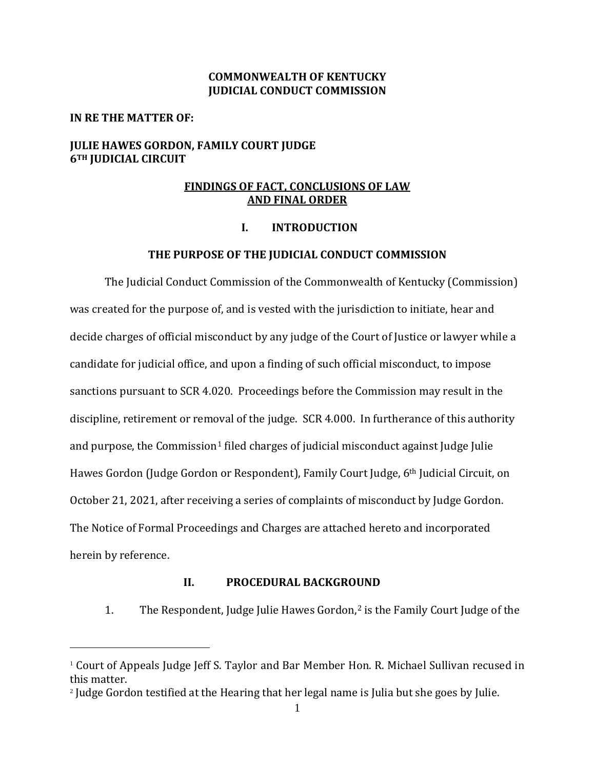### **COMMONWEALTH OF KENTUCKY JUDICIAL CONDUCT COMMISSION**

#### **IN RE THE MATTER OF:**

## **JULIE HAWES GORDON, FAMILY COURT JUDGE 6TH JUDICIAL CIRCUIT**

## **FINDINGS OF FACT, CONCLUSIONS OF LAW AND FINAL ORDER**

### **I. INTRODUCTION**

#### **THE PURPOSE OF THE JUDICIAL CONDUCT COMMISSION**

The Judicial Conduct Commission of the Commonwealth of Kentucky (Commission) was created for the purpose of, and is vested with the jurisdiction to initiate, hear and decide charges of official misconduct by any judge of the Court of Justice or lawyer while a candidate for judicial office, and upon a finding of such official misconduct, to impose sanctions pursuant to SCR 4.020. Proceedings before the Commission may result in the discipline, retirement or removal of the judge. SCR 4.000. In furtherance of this authority and purpose, the Commission<sup>[1](#page-0-0)</sup> filed charges of judicial misconduct against Judge Julie Hawes Gordon (Judge Gordon or Respondent), Family Court Judge, 6th Judicial Circuit, on October 21, 2021, after receiving a series of complaints of misconduct by Judge Gordon. The Notice of Formal Proceedings and Charges are attached hereto and incorporated herein by reference.

### **II. PROCEDURAL BACKGROUND**

1. The Respondent, Judge Julie Hawes Gordon, [2](#page-0-1) is the Family Court Judge of the

<span id="page-0-0"></span><sup>&</sup>lt;sup>1</sup> Court of Appeals Judge Jeff S. Taylor and Bar Member Hon. R. Michael Sullivan recused in this matter.

<span id="page-0-1"></span><sup>2</sup> Judge Gordon testified at the Hearing that her legal name is Julia but she goes by Julie.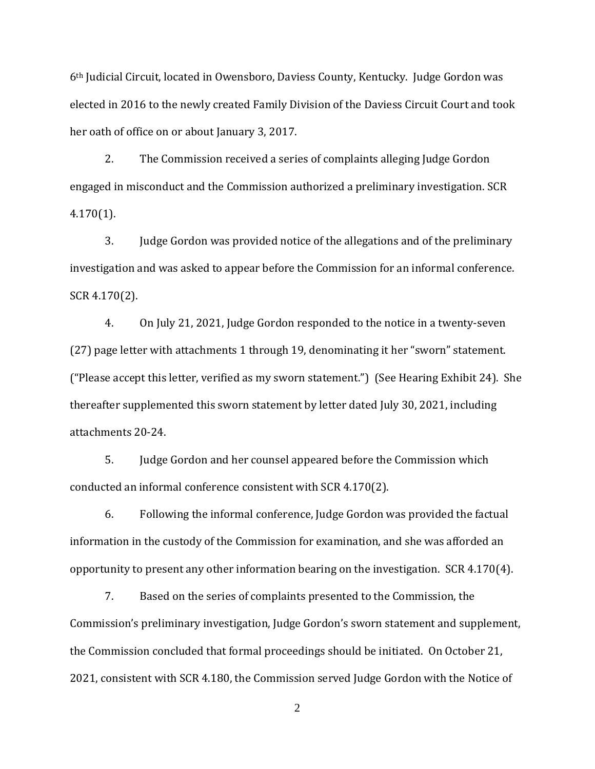6th Judicial Circuit, located in Owensboro, Daviess County, Kentucky. Judge Gordon was elected in 2016 to the newly created Family Division of the Daviess Circuit Court and took her oath of office on or about January 3, 2017.

2. The Commission received a series of complaints alleging Judge Gordon engaged in misconduct and the Commission authorized a preliminary investigation. SCR 4.170(1).

3. Judge Gordon was provided notice of the allegations and of the preliminary investigation and was asked to appear before the Commission for an informal conference. SCR 4.170(2).

4. On July 21, 2021, Judge Gordon responded to the notice in a twenty-seven (27) page letter with attachments 1 through 19, denominating it her "sworn" statement. ("Please accept this letter, verified as my sworn statement.") (See Hearing Exhibit 24). She thereafter supplemented this sworn statement by letter dated July 30, 2021, including attachments 20-24.

5. Judge Gordon and her counsel appeared before the Commission which conducted an informal conference consistent with SCR 4.170(2).

6. Following the informal conference, Judge Gordon was provided the factual information in the custody of the Commission for examination, and she was afforded an opportunity to present any other information bearing on the investigation. SCR 4.170(4).

7. Based on the series of complaints presented to the Commission, the Commission's preliminary investigation, Judge Gordon's sworn statement and supplement, the Commission concluded that formal proceedings should be initiated. On October 21, 2021, consistent with SCR 4.180, the Commission served Judge Gordon with the Notice of

2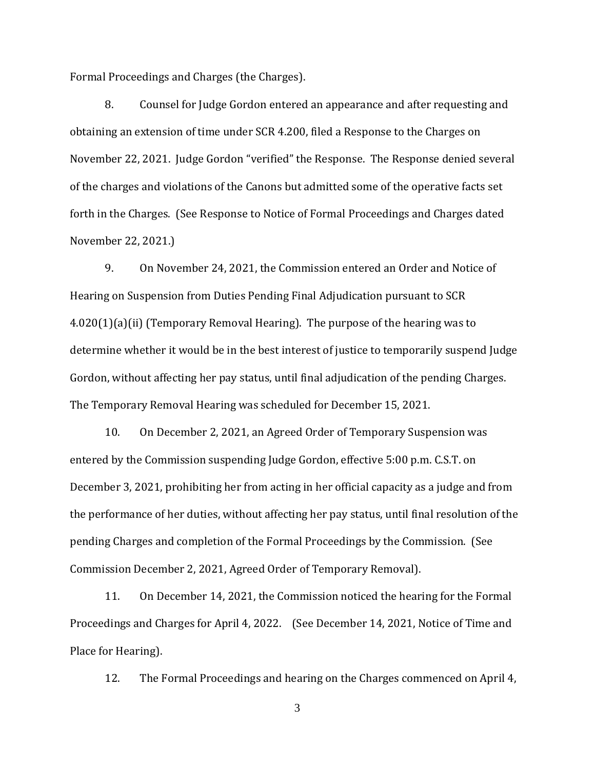Formal Proceedings and Charges (the Charges).

8. Counsel for Judge Gordon entered an appearance and after requesting and obtaining an extension of time under SCR 4.200, filed a Response to the Charges on November 22, 2021. Judge Gordon "verified" the Response. The Response denied several of the charges and violations of the Canons but admitted some of the operative facts set forth in the Charges. (See Response to Notice of Formal Proceedings and Charges dated November 22, 2021.)

9. On November 24, 2021, the Commission entered an Order and Notice of Hearing on Suspension from Duties Pending Final Adjudication pursuant to SCR 4.020(1)(a)(ii) (Temporary Removal Hearing). The purpose of the hearing was to determine whether it would be in the best interest of justice to temporarily suspend Judge Gordon, without affecting her pay status, until final adjudication of the pending Charges. The Temporary Removal Hearing was scheduled for December 15, 2021.

10. On December 2, 2021, an Agreed Order of Temporary Suspension was entered by the Commission suspending Judge Gordon, effective 5:00 p.m. C.S.T. on December 3, 2021, prohibiting her from acting in her official capacity as a judge and from the performance of her duties, without affecting her pay status, until final resolution of the pending Charges and completion of the Formal Proceedings by the Commission. (See Commission December 2, 2021, Agreed Order of Temporary Removal).

11. On December 14, 2021, the Commission noticed the hearing for the Formal Proceedings and Charges for April 4, 2022. (See December 14, 2021, Notice of Time and Place for Hearing).

12. The Formal Proceedings and hearing on the Charges commenced on April 4,

3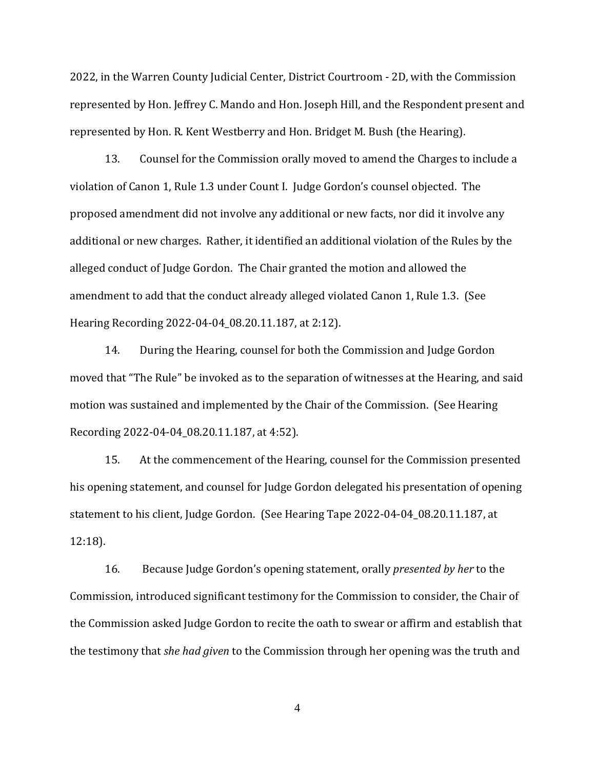2022, in the Warren County Judicial Center, District Courtroom - 2D, with the Commission represented by Hon. Jeffrey C. Mando and Hon. Joseph Hill, and the Respondent present and represented by Hon. R. Kent Westberry and Hon. Bridget M. Bush (the Hearing).

13. Counsel for the Commission orally moved to amend the Charges to include a violation of Canon 1, Rule 1.3 under Count I. Judge Gordon's counsel objected. The proposed amendment did not involve any additional or new facts, nor did it involve any additional or new charges. Rather, it identified an additional violation of the Rules by the alleged conduct of Judge Gordon. The Chair granted the motion and allowed the amendment to add that the conduct already alleged violated Canon 1, Rule 1.3. (See Hearing Recording 2022-04-04\_08.20.11.187, at 2:12).

14. During the Hearing, counsel for both the Commission and Judge Gordon moved that "The Rule" be invoked as to the separation of witnesses at the Hearing, and said motion was sustained and implemented by the Chair of the Commission. (See Hearing Recording 2022-04-04\_08.20.11.187, at 4:52).

15. At the commencement of the Hearing, counsel for the Commission presented his opening statement, and counsel for Judge Gordon delegated his presentation of opening statement to his client, Judge Gordon. (See Hearing Tape 2022-04-04\_08.20.11.187, at 12:18).

16. Because Judge Gordon's opening statement, orally *presented by her* to the Commission, introduced significant testimony for the Commission to consider, the Chair of the Commission asked Judge Gordon to recite the oath to swear or affirm and establish that the testimony that *she had given* to the Commission through her opening was the truth and

4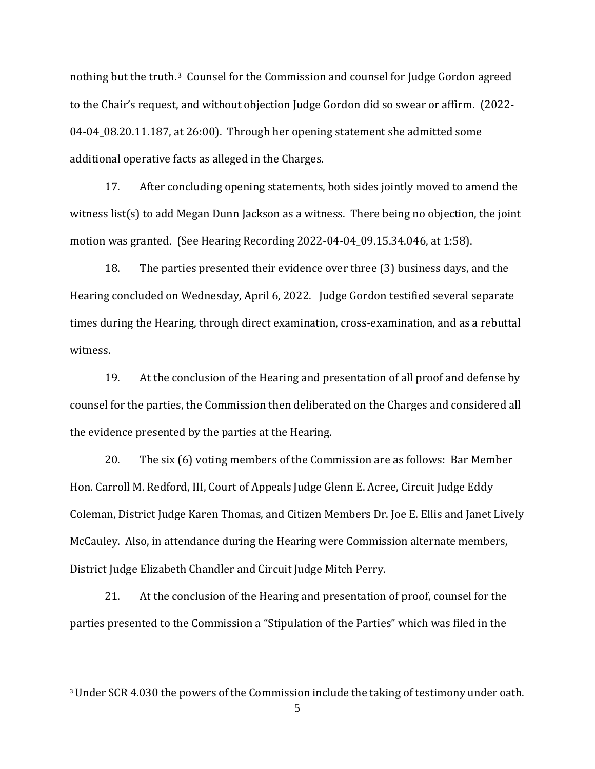nothing but the truth. [3](#page-4-0) Counsel for the Commission and counsel for Judge Gordon agreed to the Chair's request, and without objection Judge Gordon did so swear or affirm. (2022- 04-04\_08.20.11.187, at 26:00). Through her opening statement she admitted some additional operative facts as alleged in the Charges.

17. After concluding opening statements, both sides jointly moved to amend the witness list(s) to add Megan Dunn Jackson as a witness. There being no objection, the joint motion was granted. (See Hearing Recording 2022-04-04\_09.15.34.046, at 1:58).

18. The parties presented their evidence over three (3) business days, and the Hearing concluded on Wednesday, April 6, 2022. Judge Gordon testified several separate times during the Hearing, through direct examination, cross-examination, and as a rebuttal witness.

19. At the conclusion of the Hearing and presentation of all proof and defense by counsel for the parties, the Commission then deliberated on the Charges and considered all the evidence presented by the parties at the Hearing.

20. The six (6) voting members of the Commission are as follows: Bar Member Hon. Carroll M. Redford, III, Court of Appeals Judge Glenn E. Acree, Circuit Judge Eddy Coleman, District Judge Karen Thomas, and Citizen Members Dr. Joe E. Ellis and Janet Lively McCauley. Also, in attendance during the Hearing were Commission alternate members, District Judge Elizabeth Chandler and Circuit Judge Mitch Perry.

21. At the conclusion of the Hearing and presentation of proof, counsel for the parties presented to the Commission a "Stipulation of the Parties" which was filed in the

<span id="page-4-0"></span><sup>&</sup>lt;sup>3</sup> Under SCR 4.030 the powers of the Commission include the taking of testimony under oath.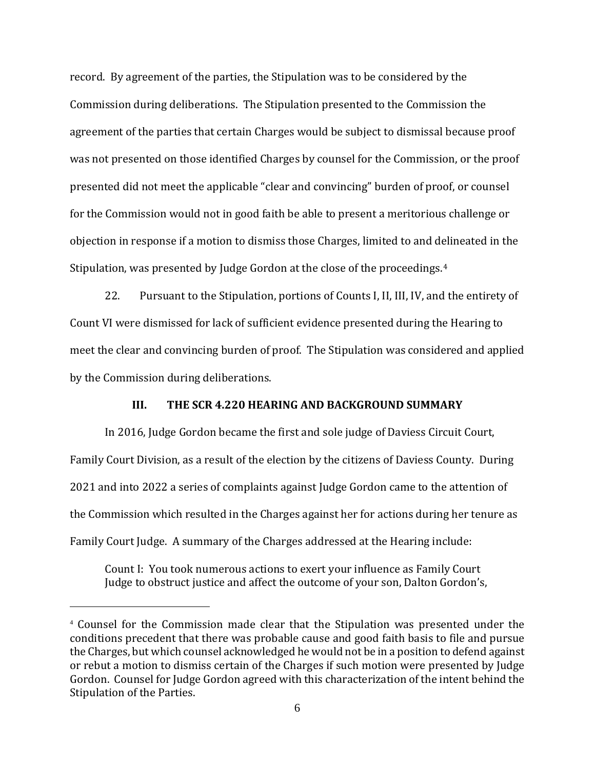record. By agreement of the parties, the Stipulation was to be considered by the Commission during deliberations. The Stipulation presented to the Commission the agreement of the parties that certain Charges would be subject to dismissal because proof was not presented on those identified Charges by counsel for the Commission, or the proof presented did not meet the applicable "clear and convincing" burden of proof, or counsel for the Commission would not in good faith be able to present a meritorious challenge or objection in response if a motion to dismiss those Charges, limited to and delineated in the Stipulation, was presented by Judge Gordon at the close of the proceedings.[4](#page-5-0) 

22. Pursuant to the Stipulation, portions of Counts I, II, III, IV, and the entirety of Count VI were dismissed for lack of sufficient evidence presented during the Hearing to meet the clear and convincing burden of proof. The Stipulation was considered and applied by the Commission during deliberations.

### **III. THE SCR 4.220 HEARING AND BACKGROUND SUMMARY**

In 2016, Judge Gordon became the first and sole judge of Daviess Circuit Court, Family Court Division, as a result of the election by the citizens of Daviess County. During 2021 and into 2022 a series of complaints against Judge Gordon came to the attention of the Commission which resulted in the Charges against her for actions during her tenure as Family Court Judge. A summary of the Charges addressed at the Hearing include:

Count I: You took numerous actions to exert your influence as Family Court Judge to obstruct justice and affect the outcome of your son, Dalton Gordon's,

<span id="page-5-0"></span><sup>4</sup> Counsel for the Commission made clear that the Stipulation was presented under the conditions precedent that there was probable cause and good faith basis to file and pursue the Charges, but which counsel acknowledged he would not be in a position to defend against or rebut a motion to dismiss certain of the Charges if such motion were presented by Judge Gordon. Counsel for Judge Gordon agreed with this characterization of the intent behind the Stipulation of the Parties.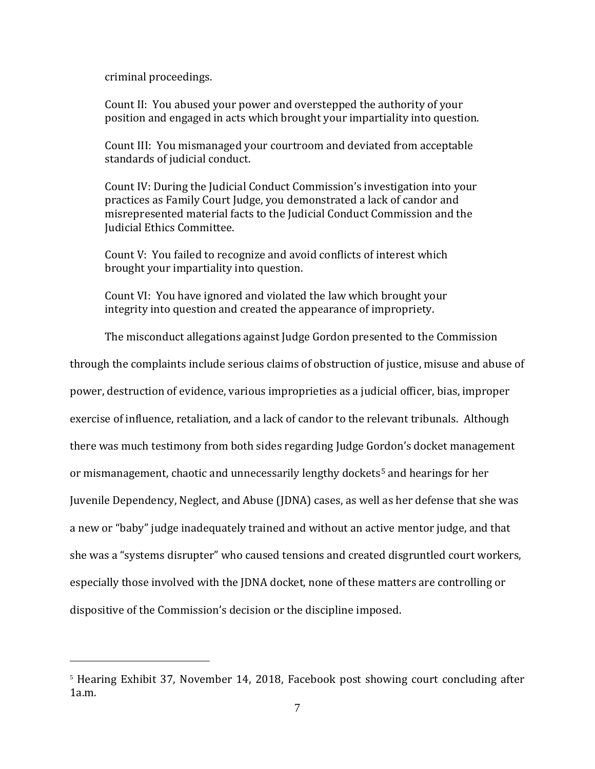criminal proceedings.

Count II: You abused your power and overstepped the authority of your position and engaged in acts which brought your impartiality into question.

Count III: You mismanaged your courtroom and deviated from acceptable standards of judicial conduct.

Count IV: During the Judicial Conduct Commission's investigation into your practices as Family Court Judge, you demonstrated a lack of candor and misrepresented material facts to the Judicial Conduct Commission and the Judicial Ethics Committee.

Count V: You failed to recognize and avoid conflicts of interest which brought your impartiality into question.

Count VI: You have ignored and violated the law which brought your integrity into question and created the appearance of impropriety.

The misconduct allegations against Judge Gordon presented to the Commission

through the complaints include serious claims of obstruction of justice, misuse and abuse of power, destruction of evidence, various improprieties as a judicial officer, bias, improper exercise of influence, retaliation, and a lack of candor to the relevant tribunals. Although there was much testimony from both sides regarding Judge Gordon's docket management or mismanagement, chaotic and unnecessarily lengthy dockets[5](#page-6-0) and hearings for her Juvenile Dependency, Neglect, and Abuse (JDNA) cases, as well as her defense that she was a new or "baby" judge inadequately trained and without an active mentor judge, and that she was a "systems disrupter" who caused tensions and created disgruntled court workers, especially those involved with the JDNA docket, none of these matters are controlling or dispositive of the Commission's decision or the discipline imposed.

<span id="page-6-0"></span><sup>&</sup>lt;sup>5</sup> Hearing Exhibit 37, November 14, 2018, Facebook post showing court concluding after  $1a.m.$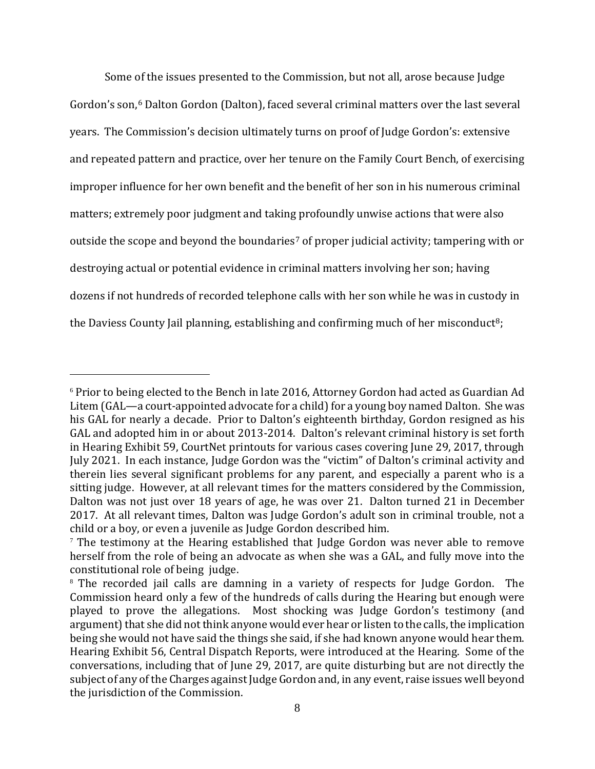Some of the issues presented to the Commission, but not all, arose because Judge Gordon's son, [6](#page-7-0) Dalton Gordon (Dalton), faced several criminal matters over the last several years. The Commission's decision ultimately turns on proof of Judge Gordon's: extensive and repeated pattern and practice, over her tenure on the Family Court Bench, of exercising improper influence for her own benefit and the benefit of her son in his numerous criminal matters; extremely poor judgment and taking profoundly unwise actions that were also outside the scope and beyond the boundaries<sup>[7](#page-7-1)</sup> of proper judicial activity; tampering with or destroying actual or potential evidence in criminal matters involving her son; having dozens if not hundreds of recorded telephone calls with her son while he was in custody in the Daviess County Jail planning, establishing and confirming much of her misconduct<sup>8</sup>;

<span id="page-7-0"></span><sup>6</sup> Prior to being elected to the Bench in late 2016, Attorney Gordon had acted as Guardian Ad Litem (GAL—a court-appointed advocate for a child) for a young boy named Dalton. She was his GAL for nearly a decade. Prior to Dalton's eighteenth birthday, Gordon resigned as his GAL and adopted him in or about 2013-2014. Dalton's relevant criminal history is set forth in Hearing Exhibit 59, CourtNet printouts for various cases covering June 29, 2017, through July 2021. In each instance, Judge Gordon was the "victim" of Dalton's criminal activity and therein lies several significant problems for any parent, and especially a parent who is a sitting judge. However, at all relevant times for the matters considered by the Commission, Dalton was not just over 18 years of age, he was over 21. Dalton turned 21 in December 2017. At all relevant times, Dalton was Judge Gordon's adult son in criminal trouble, not a child or a boy, or even a juvenile as Judge Gordon described him.

<span id="page-7-1"></span><sup>&</sup>lt;sup>7</sup> The testimony at the Hearing established that Judge Gordon was never able to remove herself from the role of being an advocate as when she was a GAL, and fully move into the constitutional role of being judge.

<span id="page-7-2"></span><sup>8</sup> The recorded jail calls are damning in a variety of respects for Judge Gordon. The Commission heard only a few of the hundreds of calls during the Hearing but enough were played to prove the allegations. Most shocking was Judge Gordon's testimony (and argument) that she did not think anyone would ever hear or listen to the calls, the implication being she would not have said the things she said, if she had known anyone would hear them. Hearing Exhibit 56, Central Dispatch Reports, were introduced at the Hearing. Some of the conversations, including that of June 29, 2017, are quite disturbing but are not directly the subject of any of the Charges against Judge Gordon and, in any event, raise issues well beyond the jurisdiction of the Commission.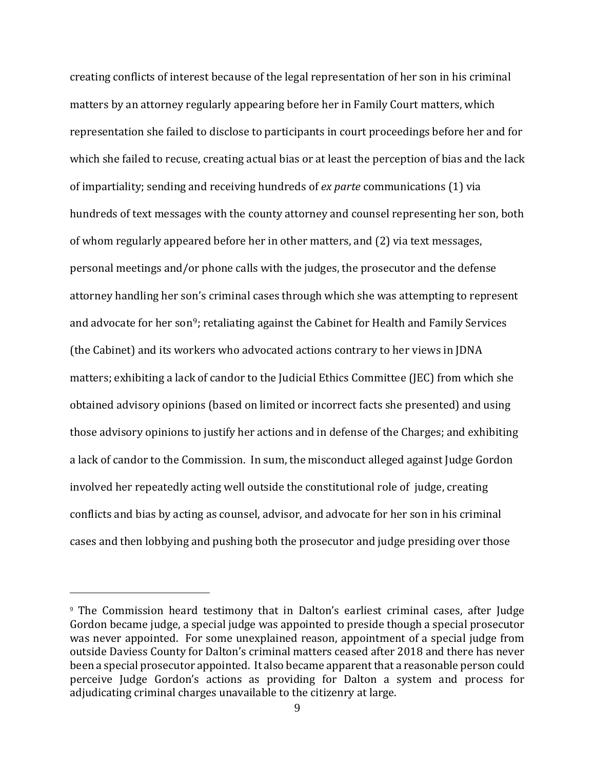creating conflicts of interest because of the legal representation of her son in his criminal matters by an attorney regularly appearing before her in Family Court matters, which representation she failed to disclose to participants in court proceedings before her and for which she failed to recuse, creating actual bias or at least the perception of bias and the lack of impartiality; sending and receiving hundreds of *ex parte* communications (1) via hundreds of text messages with the county attorney and counsel representing her son, both of whom regularly appeared before her in other matters, and (2) via text messages, personal meetings and/or phone calls with the judges, the prosecutor and the defense attorney handling her son's criminal cases through which she was attempting to represent and advocate for her son<sup>[9](#page-8-0)</sup>; retaliating against the Cabinet for Health and Family Services (the Cabinet) and its workers who advocated actions contrary to her views in JDNA matters; exhibiting a lack of candor to the Judicial Ethics Committee (JEC) from which she obtained advisory opinions (based on limited or incorrect facts she presented) and using those advisory opinions to justify her actions and in defense of the Charges; and exhibiting a lack of candor to the Commission. In sum, the misconduct alleged against Judge Gordon involved her repeatedly acting well outside the constitutional role of judge, creating conflicts and bias by acting as counsel, advisor, and advocate for her son in his criminal cases and then lobbying and pushing both the prosecutor and judge presiding over those

<span id="page-8-0"></span><sup>9</sup> The Commission heard testimony that in Dalton's earliest criminal cases, after Judge Gordon became judge, a special judge was appointed to preside though a special prosecutor was never appointed. For some unexplained reason, appointment of a special judge from outside Daviess County for Dalton's criminal matters ceased after 2018 and there has never been a special prosecutor appointed. It also became apparent that a reasonable person could perceive Judge Gordon's actions as providing for Dalton a system and process for adjudicating criminal charges unavailable to the citizenry at large.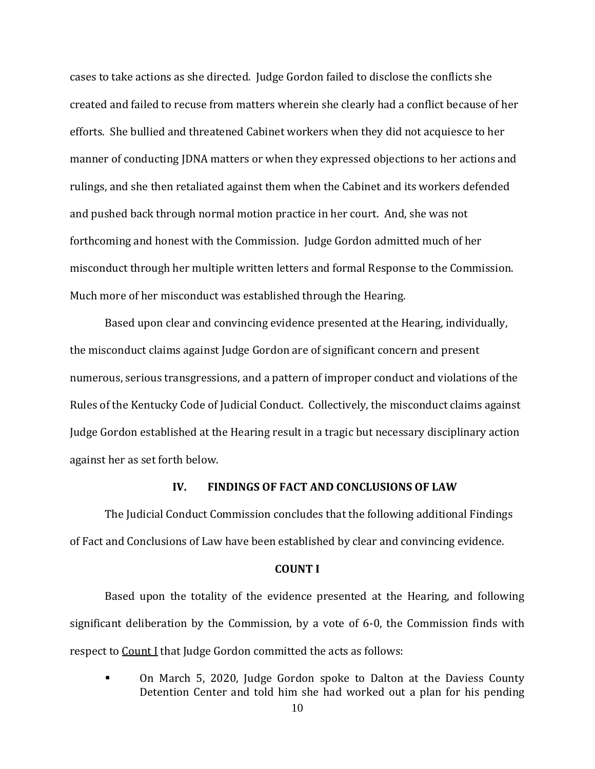cases to take actions as she directed. Judge Gordon failed to disclose the conflicts she created and failed to recuse from matters wherein she clearly had a conflict because of her efforts. She bullied and threatened Cabinet workers when they did not acquiesce to her manner of conducting JDNA matters or when they expressed objections to her actions and rulings, and she then retaliated against them when the Cabinet and its workers defended and pushed back through normal motion practice in her court. And, she was not forthcoming and honest with the Commission. Judge Gordon admitted much of her misconduct through her multiple written letters and formal Response to the Commission. Much more of her misconduct was established through the Hearing.

Based upon clear and convincing evidence presented at the Hearing, individually, the misconduct claims against Judge Gordon are of significant concern and present numerous, serious transgressions, and a pattern of improper conduct and violations of the Rules of the Kentucky Code of Judicial Conduct. Collectively, the misconduct claims against Judge Gordon established at the Hearing result in a tragic but necessary disciplinary action against her as set forth below.

#### **IV. FINDINGS OF FACT AND CONCLUSIONS OF LAW**

The Judicial Conduct Commission concludes that the following additional Findings of Fact and Conclusions of Law have been established by clear and convincing evidence.

#### **COUNT I**

Based upon the totality of the evidence presented at the Hearing, and following significant deliberation by the Commission, by a vote of 6-0, the Commission finds with respect to Count I that Judge Gordon committed the acts as follows:

 On March 5, 2020, Judge Gordon spoke to Dalton at the Daviess County Detention Center and told him she had worked out a plan for his pending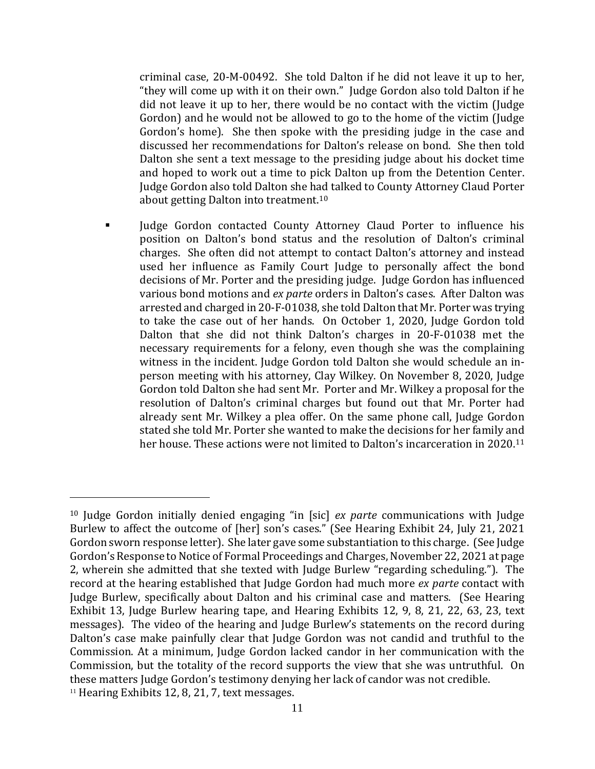criminal case, 20-M-00492. She told Dalton if he did not leave it up to her, "they will come up with it on their own." Judge Gordon also told Dalton if he did not leave it up to her, there would be no contact with the victim (Judge Gordon) and he would not be allowed to go to the home of the victim (Judge Gordon's home). She then spoke with the presiding judge in the case and discussed her recommendations for Dalton's release on bond. She then told Dalton she sent a text message to the presiding judge about his docket time and hoped to work out a time to pick Dalton up from the Detention Center. Judge Gordon also told Dalton she h[ad](#page-10-0) talked to County Attorney Claud Porter about getting Dalton into treatment. 10

 Judge Gordon contacted County Attorney Claud Porter to influence his position on Dalton's bond status and the resolution of Dalton's criminal charges. She often did not attempt to contact Dalton's attorney and instead used her influence as Family Court Judge to personally affect the bond decisions of Mr. Porter and the presiding judge. Judge Gordon has influenced various bond motions and *ex parte* orders in Dalton's cases. After Dalton was arrested and charged in 20-F-01038, she told Dalton that Mr. Porter was trying to take the case out of her hands. On October 1, 2020, Judge Gordon told Dalton that she did not think Dalton's charges in 20-F-01038 met the necessary requirements for a felony, even though she was the complaining witness in the incident. Judge Gordon told Dalton she would schedule an inperson meeting with his attorney, Clay Wilkey. On November 8, 2020, Judge Gordon told Dalton she had sent Mr. Porter and Mr. Wilkey a proposal for the resolution of Dalton's criminal charges but found out that Mr. Porter had already sent Mr. Wilkey a plea offer. On the same phone call, Judge Gordon stated she told Mr. Porter she wanted to make the decisions for her family and her house. These actions were not limited to Dalton's incarceration in 2020.[11](#page-10-1)

<span id="page-10-1"></span><span id="page-10-0"></span><sup>10</sup> Judge Gordon initially denied engaging "in [sic] *ex parte* communications with Judge Burlew to affect the outcome of [her] son's cases." (See Hearing Exhibit 24, July 21, 2021 Gordon sworn response letter). She later gave some substantiation to this charge. (See Judge Gordon's Response to Notice of Formal Proceedings and Charges, November 22, 2021 at page 2, wherein she admitted that she texted with Judge Burlew "regarding scheduling."). The record at the hearing established that Judge Gordon had much more *ex parte* contact with Judge Burlew, specifically about Dalton and his criminal case and matters. (See Hearing Exhibit 13, Judge Burlew hearing tape, and Hearing Exhibits 12, 9, 8, 21, 22, 63, 23, text messages). The video of the hearing and Judge Burlew's statements on the record during Dalton's case make painfully clear that Judge Gordon was not candid and truthful to the Commission. At a minimum, Judge Gordon lacked candor in her communication with the Commission, but the totality of the record supports the view that she was untruthful. On these matters Judge Gordon's testimony denying her lack of candor was not credible.  $11$  Hearing Exhibits 12, 8, 21, 7, text messages.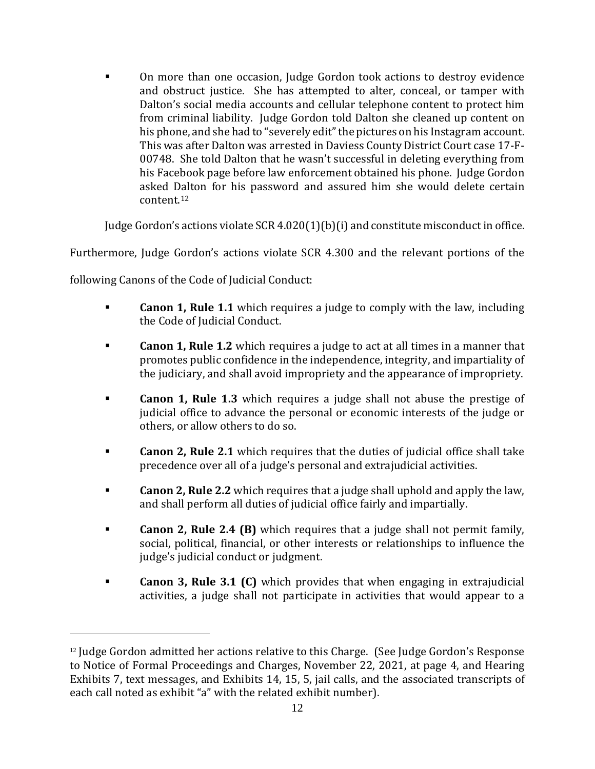On more than one occasion, Judge Gordon took actions to destroy evidence and obstruct justice. She has attempted to alter, conceal, or tamper with Dalton's social media accounts and cellular telephone content to protect him from criminal liability. Judge Gordon told Dalton she cleaned up content on his phone, and she had to "severely edit" the pictures on his Instagram account. This was after Dalton was arrested in Daviess County District Court case 17-F-00748. She told Dalton that he wasn't successful in deleting everything from his Facebook page before law enforcement obtained his phone. Judge Gordon asked Dalton for his password and assured him she would delete certain content. [12](#page-11-0) 

Judge Gordon's actions violate SCR 4.020(1)(b)(i) and constitute misconduct in office.

Furthermore, Judge Gordon's actions violate SCR 4.300 and the relevant portions of the

following Canons of the Code of Judicial Conduct:

- **Canon 1, Rule 1.1** which requires a judge to comply with the law, including the Code of Judicial Conduct.
- **Canon 1, Rule 1.2** which requires a judge to act at all times in a manner that promotes public confidence in the independence, integrity, and impartiality of the judiciary, and shall avoid impropriety and the appearance of impropriety.
- **Canon 1, Rule 1.3** which requires a judge shall not abuse the prestige of judicial office to advance the personal or economic interests of the judge or others, or allow others to do so.
- **Canon 2, Rule 2.1** which requires that the duties of judicial office shall take precedence over all of a judge's personal and extrajudicial activities.
- **Canon 2, Rule 2.2** which requires that a judge shall uphold and apply the law, and shall perform all duties of judicial office fairly and impartially.
- **Canon 2, Rule 2.4 (B)** which requires that a judge shall not permit family, social, political, financial, or other interests or relationships to influence the judge's judicial conduct or judgment.
- **Canon 3, Rule 3.1 (C)** which provides that when engaging in extrajudicial activities, a judge shall not participate in activities that would appear to a

<span id="page-11-0"></span><sup>&</sup>lt;sup>12</sup> Judge Gordon admitted her actions relative to this Charge. (See Judge Gordon's Response to Notice of Formal Proceedings and Charges, November 22, 2021, at page 4, and Hearing Exhibits 7, text messages, and Exhibits 14, 15, 5, jail calls, and the associated transcripts of each call noted as exhibit "a" with the related exhibit number).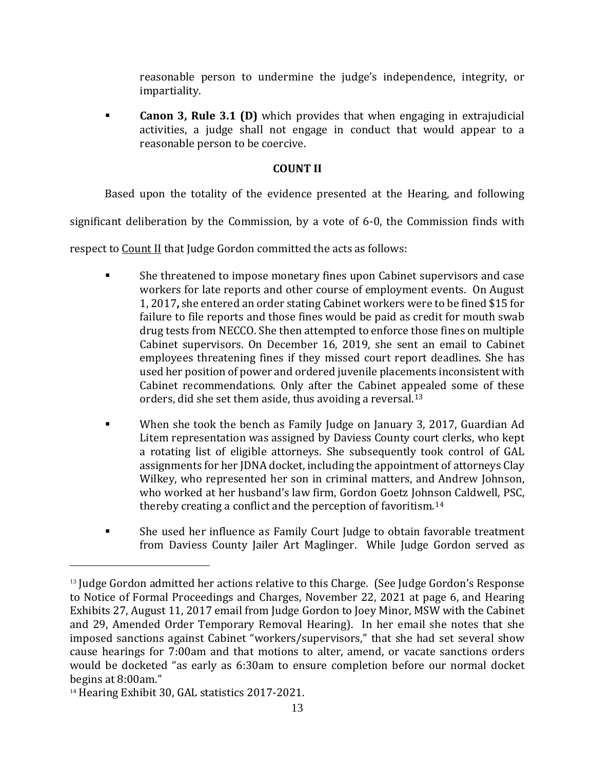reasonable person to undermine the judge's independence, integrity, or impartiality.

 **Canon 3, Rule 3.1 (D)** which provides that when engaging in extrajudicial activities, a judge shall not engage in conduct that would appear to a reasonable person to be coercive.

## **COUNT II**

Based upon the totality of the evidence presented at the Hearing, and following

significant deliberation by the Commission, by a vote of 6-0, the Commission finds with

respect to Count II that Judge Gordon committed the acts as follows:

- She threatened to impose monetary fines upon Cabinet supervisors and case workers for late reports and other course of employment events. On August 1, 2017**,** she entered an order stating Cabinet workers were to be fined \$15 for failure to file reports and those fines would be paid as credit for mouth swab drug tests from NECCO. She then attempted to enforce those fines on multiple Cabinet supervisors. On December 16, 2019, she sent an email to Cabinet employees threatening fines if they missed court report deadlines. She has used her position of power and ordered juvenile placements inconsistent with Cabinet recommendations. Only after the Cabinet appealed some of these orders, did she set them aside, thus avoiding a reversal.[13](#page-12-0)
- When she took the bench as Family Judge on January 3, 2017, Guardian Ad Litem representation was assigned by Daviess County court clerks, who kept a rotating list of eligible attorneys. She subsequently took control of GAL assignments for her JDNA docket, including the appointment of attorneys Clay Wilkey, who represented her son in criminal matters, and Andrew Johnson, who worked at her husband's law firm, Gordon Goetz Johnson Caldwell, PSC, thereby creating a conflict and the perception of favoritism.[14](#page-12-1)
- She used her influence as Family Court Judge to obtain favorable treatment from Daviess County Jailer Art Maglinger. While Judge Gordon served as

<span id="page-12-0"></span><sup>&</sup>lt;sup>13</sup> Judge Gordon admitted her actions relative to this Charge. (See Judge Gordon's Response to Notice of Formal Proceedings and Charges, November 22, 2021 at page 6, and Hearing Exhibits 27, August 11, 2017 email from Judge Gordon to Joey Minor, MSW with the Cabinet and 29, Amended Order Temporary Removal Hearing). In her email she notes that she imposed sanctions against Cabinet "workers/supervisors," that she had set several show cause hearings for 7:00am and that motions to alter, amend, or vacate sanctions orders would be docketed "as early as 6:30am to ensure completion before our normal docket begins at 8:00am."

<span id="page-12-1"></span><sup>&</sup>lt;sup>14</sup> Hearing Exhibit 30, GAL statistics 2017-2021.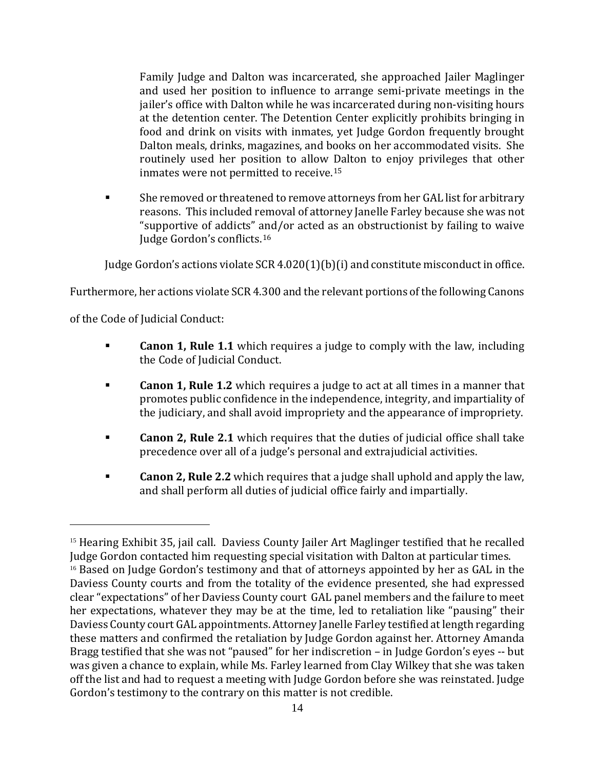Family Judge and Dalton was incarcerated, she approached Jailer Maglinger and used her position to influence to arrange semi-private meetings in the jailer's office with Dalton while he was incarcerated during non-visiting hours at the detention center. The Detention Center explicitly prohibits bringing in food and drink on visits with inmates, yet Judge Gordon frequently brought Dalton meals, drinks, magazines, and books on her accommodated visits. She routinely used her position to allow Dalton to enjoy privileges that other inmates were not permitted to receive.[15](#page-13-0)

 She removed or threatened to remove attorneys from her GAL list for arbitrary reasons. This included removal of attorney Janelle Farley because she was not "supportive of addicts" [an](#page-13-1)d/or acted as an obstructionist by failing to waive Judge Gordon's conflicts. 16

Judge Gordon's actions violate SCR 4.020(1)(b)(i) and constitute misconduct in office.

Furthermore, her actions violate SCR 4.300 and the relevant portions of the following Canons

of the Code of Judicial Conduct:

- **Canon 1, Rule 1.1** which requires a judge to comply with the law, including the Code of Judicial Conduct.
- **Canon 1, Rule 1.2** which requires a judge to act at all times in a manner that promotes public confidence in the independence, integrity, and impartiality of the judiciary, and shall avoid impropriety and the appearance of impropriety.
- **Canon 2, Rule 2.1** which requires that the duties of judicial office shall take precedence over all of a judge's personal and extrajudicial activities.
- **Canon 2, Rule 2.2** which requires that a judge shall uphold and apply the law, and shall perform all duties of judicial office fairly and impartially.

<span id="page-13-1"></span><span id="page-13-0"></span><sup>&</sup>lt;sup>15</sup> Hearing Exhibit 35, jail call. Daviess County Jailer Art Maglinger testified that he recalled Judge Gordon contacted him requesting special visitation with Dalton at particular times. <sup>16</sup> Based on Judge Gordon's testimony and that of attorneys appointed by her as GAL in the Daviess County courts and from the totality of the evidence presented, she had expressed clear "expectations" of her Daviess County court GAL panel members and the failure to meet her expectations, whatever they may be at the time, led to retaliation like "pausing" their Daviess County court GAL appointments. Attorney Janelle Farley testified at length regarding these matters and confirmed the retaliation by Judge Gordon against her. Attorney Amanda Bragg testified that she was not "paused" for her indiscretion – in Judge Gordon's eyes -- but was given a chance to explain, while Ms. Farley learned from Clay Wilkey that she was taken off the list and had to request a meeting with Judge Gordon before she was reinstated. Judge Gordon's testimony to the contrary on this matter is not credible.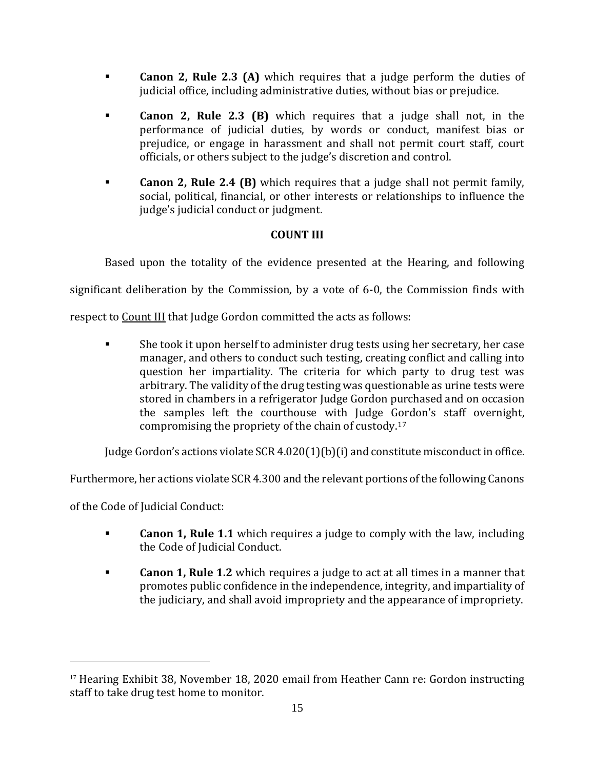- **Canon 2, Rule 2.3 (A)** which requires that a judge perform the duties of judicial office, including administrative duties, without bias or prejudice.
- **Canon 2, Rule 2.3 (B)** which requires that a judge shall not, in the performance of judicial duties, by words or conduct, manifest bias or prejudice, or engage in harassment and shall not permit court staff, court officials, or others subject to the judge's discretion and control.
- **Canon 2, Rule 2.4 (B)** which requires that a judge shall not permit family, social, political, financial, or other interests or relationships to influence the judge's judicial conduct or judgment.

# **COUNT III**

Based upon the totality of the evidence presented at the Hearing, and following

significant deliberation by the Commission, by a vote of 6-0, the Commission finds with

respect to Count III that Judge Gordon committed the acts as follows:

 She took it upon herself to administer drug tests using her secretary, her case manager, and others to conduct such testing, creating conflict and calling into question her impartiality. The criteria for which party to drug test was arbitrary. The validity of the drug testing was questionable as urine tests were stored in chambers in a refrigerator Judge Gordon purchased and on occasion the samples left the courthouse with Judge Gordon's staff overnight, compromising the propriety of the chain of custody.[17](#page-14-0) 

Judge Gordon's actions violate  $SCR 4.020(1)(b)(i)$  and constitute misconduct in office.

Furthermore, her actions violate SCR 4.300 and the relevant portions of the following Canons

of the Code of Judicial Conduct:

- **Canon 1, Rule 1.1** which requires a judge to comply with the law, including the Code of Judicial Conduct.
- **Canon 1, Rule 1.2** which requires a judge to act at all times in a manner that promotes public confidence in the independence, integrity, and impartiality of the judiciary, and shall avoid impropriety and the appearance of impropriety.

<span id="page-14-0"></span><sup>&</sup>lt;sup>17</sup> Hearing Exhibit 38, November 18, 2020 email from Heather Cann re: Gordon instructing staff to take drug test home to monitor.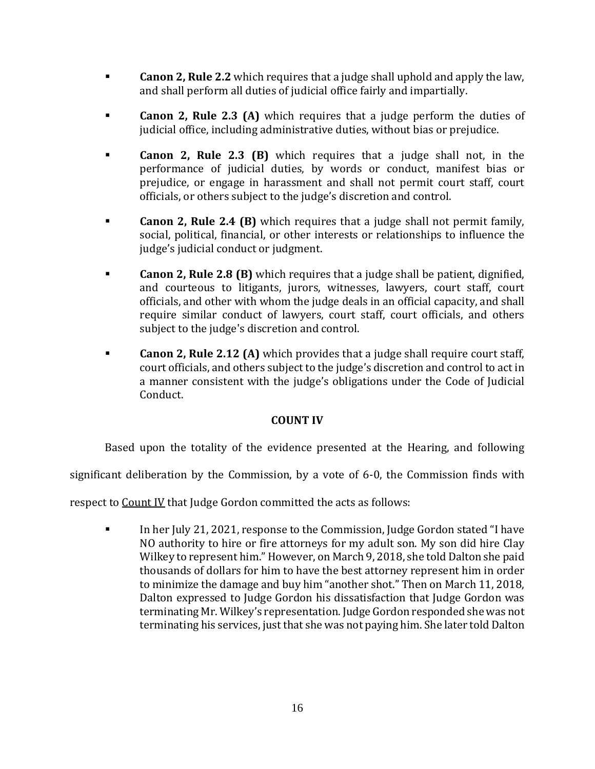- **Canon 2, Rule 2.2** which requires that a judge shall uphold and apply the law, and shall perform all duties of judicial office fairly and impartially.
- **Canon 2, Rule 2.3 (A)** which requires that a judge perform the duties of judicial office, including administrative duties, without bias or prejudice.
- **Canon 2, Rule 2.3 (B)** which requires that a judge shall not, in the performance of judicial duties, by words or conduct, manifest bias or prejudice, or engage in harassment and shall not permit court staff, court officials, or others subject to the judge's discretion and control.
- **Canon 2, Rule 2.4 (B)** which requires that a judge shall not permit family, social, political, financial, or other interests or relationships to influence the judge's judicial conduct or judgment.
- **Canon 2, Rule 2.8 (B)** which requires that a judge shall be patient, dignified, and courteous to litigants, jurors, witnesses, lawyers, court staff, court officials, and other with whom the judge deals in an official capacity, and shall require similar conduct of lawyers, court staff, court officials, and others subject to the judge's discretion and control.
- **Canon 2, Rule 2.12 (A)** which provides that a judge shall require court staff, court officials, and others subject to the judge's discretion and control to act in a manner consistent with the judge's obligations under the Code of Judicial Conduct.

# **COUNT IV**

Based upon the totality of the evidence presented at the Hearing, and following

significant deliberation by the Commission, by a vote of 6-0, the Commission finds with

respect to Count IV that Judge Gordon committed the acts as follows:

In her July 21, 2021, response to the Commission, Judge Gordon stated "I have NO authority to hire or fire attorneys for my adult son. My son did hire Clay Wilkey to represent him." However, on March 9, 2018, she told Dalton she paid thousands of dollars for him to have the best attorney represent him in order to minimize the damage and buy him "another shot." Then on March 11, 2018, Dalton expressed to Judge Gordon his dissatisfaction that Judge Gordon was terminating Mr. Wilkey's representation. Judge Gordon responded she was not terminating his services, just that she was not paying him. She later told Dalton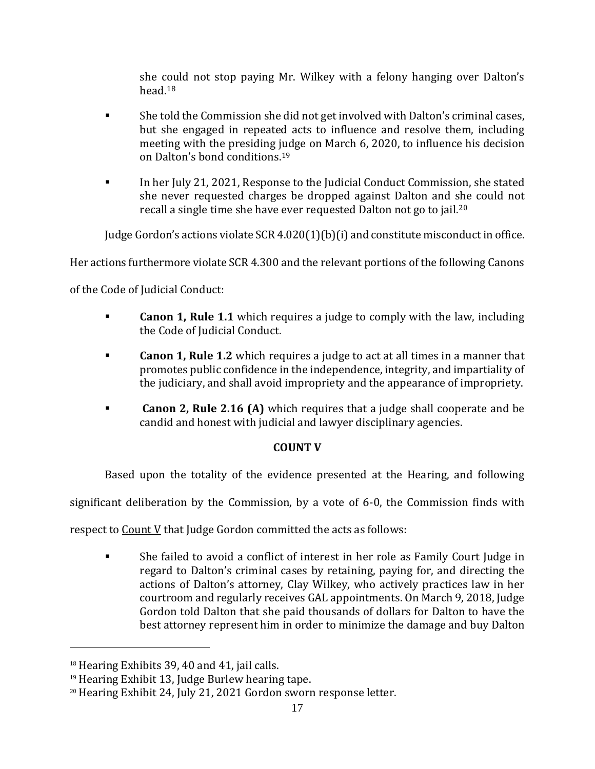she could not stop paying Mr. Wilkey with a felony hanging over Dalton's head.[18](#page-16-0)

- She told the Commission she did not get involved with Dalton's criminal cases, but she engaged in repeated acts to influence and resolve them, including meeting with the presiding judge on March 6, 2020, to influence his decision on Dalton's bond conditions.[19](#page-16-1)
- In her July 21, 2021, Response to the Judicial Conduct Commission, she stated she never requested charges be dropped against Dalton and she could not recall a single time she have ever requested Dalton not go to jail[.20](#page-16-2)

Judge Gordon's actions violate SCR 4.020(1)(b)(i) and constitute misconduct in office.

Her actions furthermore violate SCR 4.300 and the relevant portions of the following Canons

of the Code of Judicial Conduct:

- **Canon 1, Rule 1.1** which requires a judge to comply with the law, including the Code of Judicial Conduct.
- **Canon 1, Rule 1.2** which requires a judge to act at all times in a manner that promotes public confidence in the independence, integrity, and impartiality of the judiciary, and shall avoid impropriety and the appearance of impropriety.
- **Canon 2, Rule 2.16 (A)** which requires that a judge shall cooperate and be candid and honest with judicial and lawyer disciplinary agencies.

# **COUNT V**

Based upon the totality of the evidence presented at the Hearing, and following

significant deliberation by the Commission, by a vote of 6-0, the Commission finds with

respect to Count V that Judge Gordon committed the acts as follows:

 She failed to avoid a conflict of interest in her role as Family Court Judge in regard to Dalton's criminal cases by retaining, paying for, and directing the actions of Dalton's attorney, Clay Wilkey, who actively practices law in her courtroom and regularly receives GAL appointments. On March 9, 2018, Judge Gordon told Dalton that she paid thousands of dollars for Dalton to have the best attorney represent him in order to minimize the damage and buy Dalton

<span id="page-16-0"></span> $18$  Hearing Exhibits 39, 40 and 41, jail calls.

<span id="page-16-1"></span><sup>&</sup>lt;sup>19</sup> Hearing Exhibit 13, Judge Burlew hearing tape.

<span id="page-16-2"></span><sup>20</sup> Hearing Exhibit 24, July 21, 2021 Gordon sworn response letter.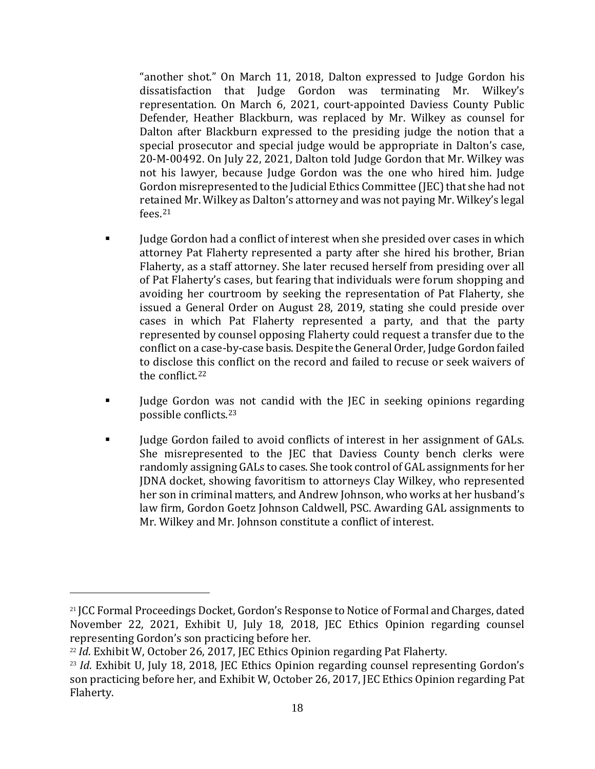"another shot." On March 11, 2018, Dalton expressed to Judge Gordon his dissatisfaction that Judge Gordon was terminating Mr. Wilkey's representation. On March 6, 2021, court-appointed Daviess County Public Defender, Heather Blackburn, was replaced by Mr. Wilkey as counsel for Dalton after Blackburn expressed to the presiding judge the notion that a special prosecutor and special judge would be appropriate in Dalton's case, 20-M-00492. On July 22, 2021, Dalton told Judge Gordon that Mr. Wilkey was not his lawyer, because Judge Gordon was the one who hired him. Judge Gordon misrepresented to the Judicial Ethics Committee (JEC) that she had not retained Mr. Wilkey as Dalton's attorney and was not paying Mr. Wilkey's legal fees.[21](#page-17-0)

- Judge Gordon had a conflict of interest when she presided over cases in which attorney Pat Flaherty represented a party after she hired his brother, Brian Flaherty, as a staff attorney. She later recused herself from presiding over all of Pat Flaherty's cases, but fearing that individuals were forum shopping and avoiding her courtroom by seeking the representation of Pat Flaherty, she issued a General Order on August 28, 2019, stating she could preside over cases in which Pat Flaherty represented a party, and that the party represented by counsel opposing Flaherty could request a transfer due to the conflict on a case-by-case basis. Despite the General Order, Judge Gordon failed to disclose this conflict on the record and failed to recuse or seek waivers of the conflict.[22](#page-17-1)
- If Iudge Gordon was not candid with the JEC in seeking opinions regarding possible conflicts.[23](#page-17-2)
- Iudge Gordon failed to avoid conflicts of interest in her assignment of GALs. She misrepresented to the JEC that Daviess County bench clerks were randomly assigning GALs to cases. She took control of GAL assignments for her JDNA docket, showing favoritism to attorneys Clay Wilkey, who represented her son in criminal matters, and Andrew Johnson, who works at her husband's law firm, Gordon Goetz Johnson Caldwell, PSC. Awarding GAL assignments to Mr. Wilkey and Mr. Johnson constitute a conflict of interest.

<span id="page-17-0"></span><sup>&</sup>lt;sup>21</sup> JCC Formal Proceedings Docket, Gordon's Response to Notice of Formal and Charges, dated November 22, 2021, Exhibit U, July 18, 2018, JEC Ethics Opinion regarding counsel representing Gordon's son practicing before her.

<span id="page-17-1"></span><sup>&</sup>lt;sup>22</sup> *Id*. Exhibit W, October 26, 2017, JEC Ethics Opinion regarding Pat Flaherty.

<span id="page-17-2"></span><sup>&</sup>lt;sup>23</sup> *Id*. Exhibit U, July 18, 2018, JEC Ethics Opinion regarding counsel representing Gordon's son practicing before her, and Exhibit W, October 26, 2017, JEC Ethics Opinion regarding Pat Flaherty.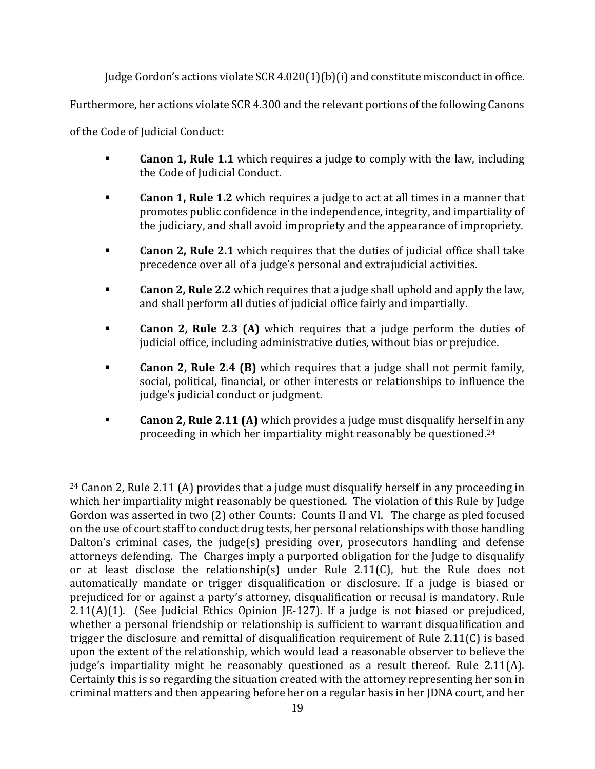Judge Gordon's actions violate  $SCR\,4.020(1)(b)(i)$  and constitute misconduct in office.

Furthermore, her actions violate SCR 4.300 and the relevant portions of the following Canons

of the Code of Judicial Conduct:

- **Canon 1, Rule 1.1** which requires a judge to comply with the law, including the Code of Judicial Conduct.
- **Canon 1, Rule 1.2** which requires a judge to act at all times in a manner that promotes public confidence in the independence, integrity, and impartiality of the judiciary, and shall avoid impropriety and the appearance of impropriety.
- **Canon 2, Rule 2.1** which requires that the duties of judicial office shall take precedence over all of a judge's personal and extrajudicial activities.
- **Canon 2, Rule 2.2** which requires that a judge shall uphold and apply the law, and shall perform all duties of judicial office fairly and impartially.
- **Canon 2, Rule 2.3 (A)** which requires that a judge perform the duties of judicial office, including administrative duties, without bias or prejudice.
- **Canon 2, Rule 2.4 (B)** which requires that a judge shall not permit family, social, political, financial, or other interests or relationships to influence the judge's judicial conduct or judgment.
- **Canon 2, Rule 2.11 (A)** which provides a judge must disqualify herself in any proceeding in which her impartiality might reasonably be questioned.[24](#page-18-0)

<span id="page-18-0"></span><sup>&</sup>lt;sup>24</sup> Canon 2, Rule 2.11 (A) provides that a judge must disqualify herself in any proceeding in which her impartiality might reasonably be questioned. The violation of this Rule by Judge Gordon was asserted in two (2) other Counts: Counts II and VI. The charge as pled focused on the use of court staff to conduct drug tests, her personal relationships with those handling Dalton's criminal cases, the judge(s) presiding over, prosecutors handling and defense attorneys defending. The Charges imply a purported obligation for the Judge to disqualify or at least disclose the relationship(s) under Rule 2.11(C), but the Rule does not automatically mandate or trigger disqualification or disclosure. If a judge is biased or prejudiced for or against a party's attorney, disqualification or recusal is mandatory. Rule 2.11(A)(1). (See Judicial Ethics Opinion JE-127). If a judge is not biased or prejudiced, whether a personal friendship or relationship is sufficient to warrant disqualification and trigger the disclosure and remittal of disqualification requirement of Rule 2.11(C) is based upon the extent of the relationship, which would lead a reasonable observer to believe the judge's impartiality might be reasonably questioned as a result thereof. Rule 2.11(A). Certainly this is so regarding the situation created with the attorney representing her son in criminal matters and then appearing before her on a regular basis in her JDNA court, and her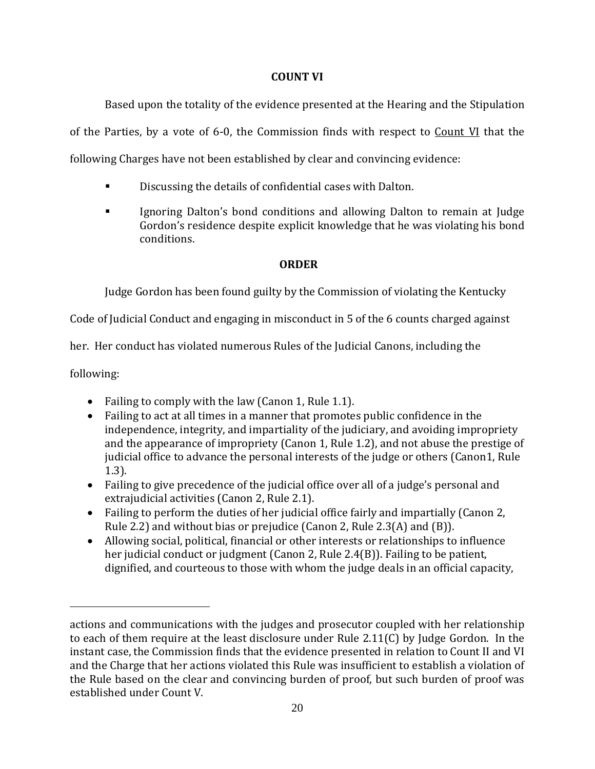## **COUNT VI**

Based upon the totality of the evidence presented at the Hearing and the Stipulation of the Parties, by a vote of 6-0, the Commission finds with respect to  $Count$  VI that the following Charges have not been established by clear and convincing evidence:

- Discussing the details of confidential cases with Dalton.
- Ignoring Dalton's bond conditions and allowing Dalton to remain at Judge Gordon's residence despite explicit knowledge that he was violating his bond conditions.

# **ORDER**

Judge Gordon has been found guilty by the Commission of violating the Kentucky

Code of Judicial Conduct and engaging in misconduct in 5 of the 6 counts charged against

her. Her conduct has violated numerous Rules of the Judicial Canons, including the

following:

- Failing to comply with the law (Canon 1, Rule 1.1).
- Failing to act at all times in a manner that promotes public confidence in the independence, integrity, and impartiality of the judiciary, and avoiding impropriety and the appearance of impropriety (Canon 1, Rule 1.2), and not abuse the prestige of judicial office to advance the personal interests of the judge or others (Canon1, Rule 1.3).
- Failing to give precedence of the judicial office over all of a judge's personal and extrajudicial activities (Canon 2, Rule 2.1).
- Failing to perform the duties of her judicial office fairly and impartially (Canon 2, Rule 2.2) and without bias or prejudice (Canon 2, Rule 2.3(A) and (B)).
- Allowing social, political, financial or other interests or relationships to influence her judicial conduct or judgment (Canon 2, Rule 2.4(B)). Failing to be patient, dignified, and courteous to those with whom the judge deals in an official capacity,

actions and communications with the judges and prosecutor coupled with her relationship to each of them require at the least disclosure under Rule 2.11(C) by Judge Gordon. In the instant case, the Commission finds that the evidence presented in relation to Count II and VI and the Charge that her actions violated this Rule was insufficient to establish a violation of the Rule based on the clear and convincing burden of proof, but such burden of proof was established under Count V.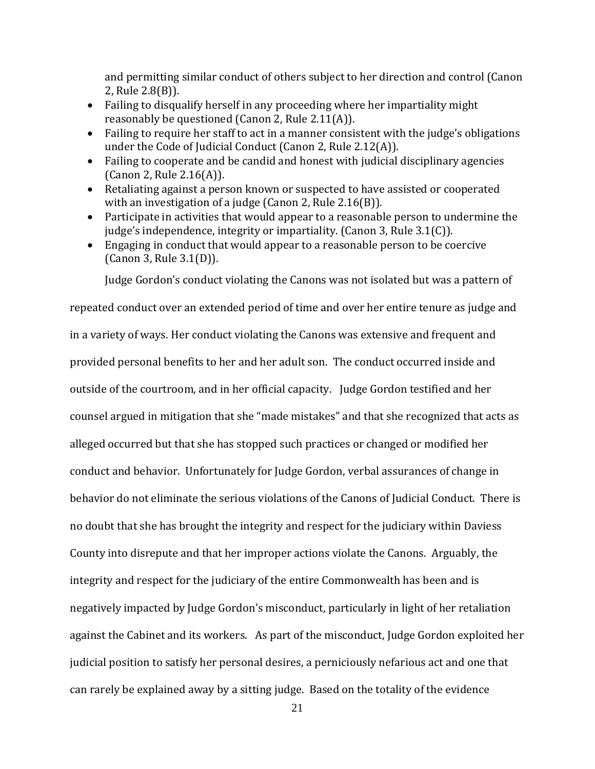and permitting similar conduct of others subject to her direction and control (Canon 2, Rule 2.8(B)).

- Failing to disqualify herself in any proceeding where her impartiality might reasonably be questioned (Canon 2, Rule 2.11(A)).
- Failing to require her staff to act in a manner consistent with the judge's obligations under the Code of Judicial Conduct (Canon 2, Rule 2.12(A)).
- Failing to cooperate and be candid and honest with judicial disciplinary agencies (Canon 2, Rule 2.16(A)).
- Retaliating against a person known or suspected to have assisted or cooperated with an investigation of a judge (Canon 2, Rule 2.16(B)).
- Participate in activities that would appear to a reasonable person to undermine the judge's independence, integrity or impartiality. (Canon 3, Rule 3.1(C)).
- Engaging in conduct that would appear to a reasonable person to be coercive (Canon 3, Rule 3.1(D)).

Judge Gordon's conduct violating the Canons was not isolated but was a pattern of

repeated conduct over an extended period of time and over her entire tenure as judge and in a variety of ways. Her conduct violating the Canons was extensive and frequent and provided personal benefits to her and her adult son. The conduct occurred inside and outside of the courtroom, and in her official capacity. Judge Gordon testified and her counsel argued in mitigation that she "made mistakes" and that she recognized that acts as alleged occurred but that she has stopped such practices or changed or modified her conduct and behavior. Unfortunately for Judge Gordon, verbal assurances of change in behavior do not eliminate the serious violations of the Canons of Judicial Conduct. There is no doubt that she has brought the integrity and respect for the judiciary within Daviess County into disrepute and that her improper actions violate the Canons. Arguably, the integrity and respect for the judiciary of the entire Commonwealth has been and is negatively impacted by Judge Gordon's misconduct, particularly in light of her retaliation against the Cabinet and its workers. As part of the misconduct, Judge Gordon exploited her judicial position to satisfy her personal desires, a perniciously nefarious act and one that can rarely be explained away by a sitting judge. Based on the totality of the evidence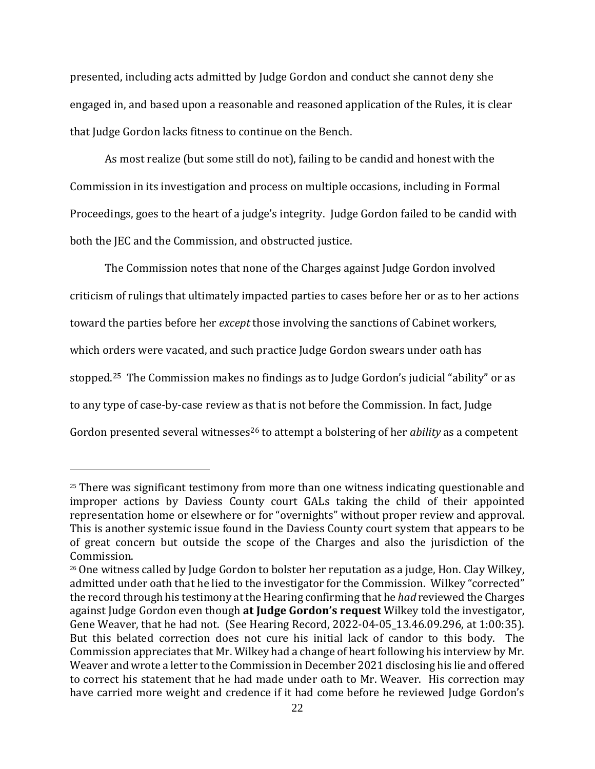presented, including acts admitted by Judge Gordon and conduct she cannot deny she engaged in, and based upon a reasonable and reasoned application of the Rules, it is clear that Judge Gordon lacks fitness to continue on the Bench.

As most realize (but some still do not), failing to be candid and honest with the Commission in its investigation and process on multiple occasions, including in Formal Proceedings, goes to the heart of a judge's integrity. Judge Gordon failed to be candid with both the JEC and the Commission, and obstructed justice.

The Commission notes that none of the Charges against Judge Gordon involved criticism of rulings that ultimately impacted parties to cases before her or as to her actions toward the parties before her *except* those involving the sanctions of Cabinet workers, which orders were vacated, and such practice Judge Gordon swears under oath has stopped. [25](#page-21-0) The Commission makes no findings as to Judge Gordon's judicial "ability" or as to any type of case-by-case review as that is not before the Commission. In fact, Judge Gordon presented several witnesses<sup>[26](#page-21-1)</sup> to attempt a bolstering of her *ability* as a competent

<span id="page-21-0"></span> $25$  There was significant testimony from more than one witness indicating questionable and improper actions by Daviess County court GALs taking the child of their appointed representation home or elsewhere or for "overnights" without proper review and approval. This is another systemic issue found in the Daviess County court system that appears to be of great concern but outside the scope of the Charges and also the jurisdiction of the Commission.

<span id="page-21-1"></span> $26$  One witness called by Judge Gordon to bolster her reputation as a judge, Hon. Clay Wilkey, admitted under oath that he lied to the investigator for the Commission. Wilkey "corrected" the record through his testimony at the Hearing confirming that he *had* reviewed the Charges against Judge Gordon even though **at Judge Gordon's request** Wilkey told the investigator, Gene Weaver, that he had not. (See Hearing Record, 2022-04-05\_13.46.09.296, at 1:00:35). But this belated correction does not cure his initial lack of candor to this body. The Commission appreciates that Mr. Wilkey had a change of heart following his interview by Mr. Weaver and wrote a letter to the Commission in December 2021 disclosing his lie and offered to correct his statement that he had made under oath to Mr. Weaver. His correction may have carried more weight and credence if it had come before he reviewed Judge Gordon's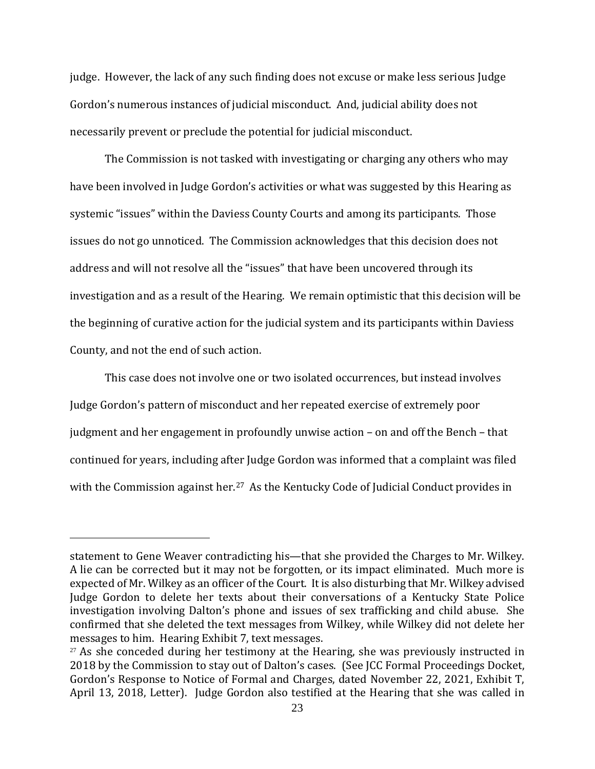judge. However, the lack of any such finding does not excuse or make less serious Judge Gordon's numerous instances of judicial misconduct. And, judicial ability does not necessarily prevent or preclude the potential for judicial misconduct.

The Commission is not tasked with investigating or charging any others who may have been involved in Judge Gordon's activities or what was suggested by this Hearing as systemic "issues" within the Daviess County Courts and among its participants. Those issues do not go unnoticed. The Commission acknowledges that this decision does not address and will not resolve all the "issues" that have been uncovered through its investigation and as a result of the Hearing. We remain optimistic that this decision will be the beginning of curative action for the judicial system and its participants within Daviess County, and not the end of such action.

This case does not involve one or two isolated occurrences, but instead involves Judge Gordon's pattern of misconduct and her repeated exercise of extremely poor judgment and her engagement in profoundly unwise action – on and off the Bench – that continued for years, including after Judge Gordon was informed that a complaint was filed with the Commission against her. [27](#page-22-0) As the Kentucky Code of Judicial Conduct provides in

statement to Gene Weaver contradicting his—that she provided the Charges to Mr. Wilkey. A lie can be corrected but it may not be forgotten, or its impact eliminated. Much more is expected of Mr. Wilkey as an officer of the Court. It is also disturbing that Mr. Wilkey advised Judge Gordon to delete her texts about their conversations of a Kentucky State Police investigation involving Dalton's phone and issues of sex trafficking and child abuse. She confirmed that she deleted the text messages from Wilkey, while Wilkey did not delete her messages to him. Hearing Exhibit 7, text messages.

<span id="page-22-0"></span> $27$  As she conceded during her testimony at the Hearing, she was previously instructed in 2018 by the Commission to stay out of Dalton's cases. (See JCC Formal Proceedings Docket, Gordon's Response to Notice of Formal and Charges, dated November 22, 2021, Exhibit T, April 13, 2018, Letter). Judge Gordon also testified at the Hearing that she was called in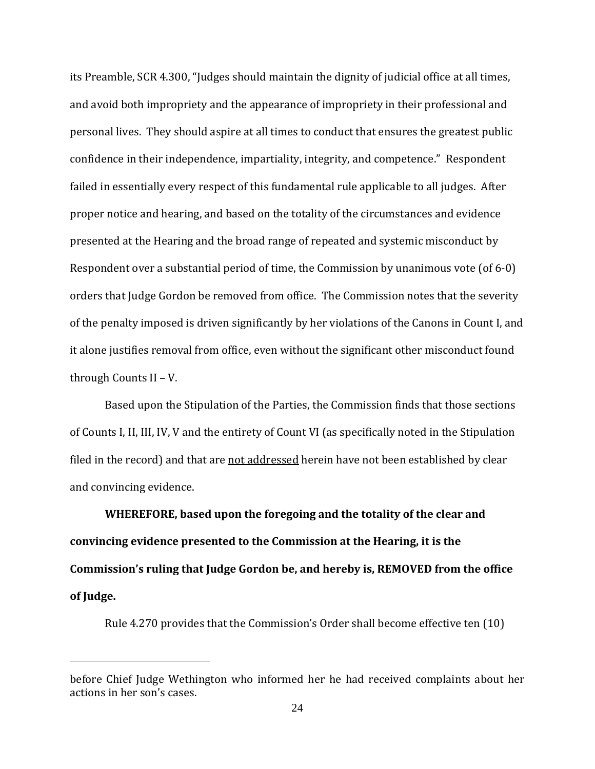its Preamble, SCR 4.300, "Judges should maintain the dignity of judicial office at all times, and avoid both impropriety and the appearance of impropriety in their professional and personal lives. They should aspire at all times to conduct that ensures the greatest public confidence in their independence, impartiality, integrity, and competence." Respondent failed in essentially every respect of this fundamental rule applicable to all judges. After proper notice and hearing, and based on the totality of the circumstances and evidence presented at the Hearing and the broad range of repeated and systemic misconduct by Respondent over a substantial period of time, the Commission by unanimous vote (of 6-0) orders that Judge Gordon be removed from office. The Commission notes that the severity of the penalty imposed is driven significantly by her violations of the Canons in Count I, and it alone justifies removal from office, even without the significant other misconduct found through Counts II – V.

Based upon the Stipulation of the Parties, the Commission finds that those sections of Counts I, II, III, IV, V and the entirety of Count VI (as specifically noted in the Stipulation filed in the record) and that are not addressed herein have not been established by clear and convincing evidence.

**WHEREFORE, based upon the foregoing and the totality of the clear and convincing evidence presented to the Commission at the Hearing, it is the Commission's ruling that Judge Gordon be, and hereby is, REMOVED from the office of Judge.** 

Rule 4.270 provides that the Commission's Order shall become effective ten (10)

before Chief Judge Wethington who informed her he had received complaints about her actions in her son's cases.